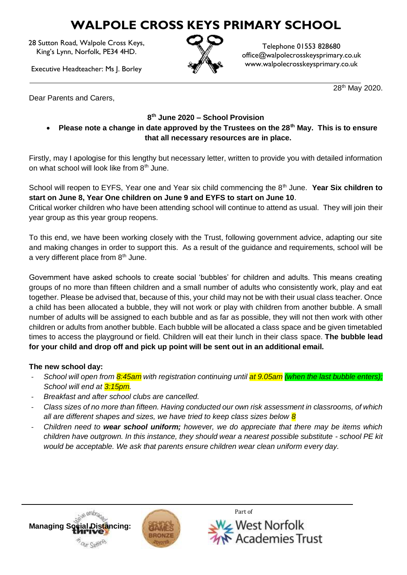## **WALPOLE CROSS KEYS PRIMARY SCHOOL**

28 Sutton Road, Walpole Cross Keys, King's Lynn, Norfolk, PE34 4HD.

Executive Headteacher: Ms J. Borley



Telephone 01553 828680 office@walpolecrosskeysprimary.co.uk www.walpolecrosskeysprimary.co.uk

28<sup>th</sup> May 2020.

Dear Parents and Carers,

#### **8 th June 2020 – School Provision**

 **Please note a change in date approved by the Trustees on the 28th May. This is to ensure that all necessary resources are in place.**

Firstly, may I apologise for this lengthy but necessary letter, written to provide you with detailed information on what school will look like from 8th June.

School will reopen to EYFS, Year one and Year six child commencing the 8<sup>th</sup> June. Year Six children to **start on June 8, Year One children on June 9 and EYFS to start on June 10**.

Critical worker children who have been attending school will continue to attend as usual. They will join their year group as this year group reopens.

To this end, we have been working closely with the Trust, following government advice, adapting our site and making changes in order to support this. As a result of the guidance and requirements, school will be a very different place from  $8<sup>th</sup>$  June.

Government have asked schools to create social 'bubbles' for children and adults. This means creating groups of no more than fifteen children and a small number of adults who consistently work, play and eat together. Please be advised that, because of this, your child may not be with their usual class teacher. Once a child has been allocated a bubble, they will not work or play with children from another bubble. A small number of adults will be assigned to each bubble and as far as possible, they will not then work with other children or adults from another bubble. Each bubble will be allocated a class space and be given timetabled times to access the playground or field. Children will eat their lunch in their class space. **The bubble lead for your child and drop off and pick up point will be sent out in an additional email.**

### **The new school day:**

- *School will open from 8:45am with registration continuing until at 9.05am (when the last bubble enters); School will end at 3:15pm.*
- *Breakfast and after school clubs are cancelled.*
- *Class sizes of no more than fifteen. Having conducted our own risk assessment in classrooms, of which all are different shapes and sizes, we have tried to keep class sizes below 8*
- *Children need to wear school uniform; however, we do appreciate that there may be items which children have outgrown. In this instance, they should wear a nearest possible substitute - school PE kit would be acceptable. We ask that parents ensure children wear clean uniform every day.*





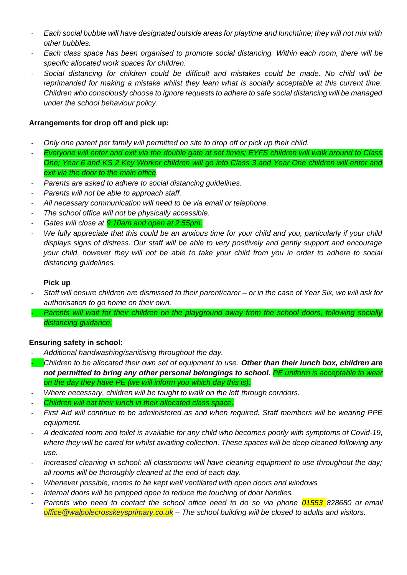- *Each social bubble will have designated outside areas for playtime and lunchtime; they will not mix with other bubbles.*
- *Each class space has been organised to promote social distancing. Within each room, there will be specific allocated work spaces for children.*
- *Social distancing for children could be difficult and mistakes could be made. No child will be reprimanded for making a mistake whilst they learn what is socially acceptable at this current time. Children who consciously choose to ignore requests to adhere to safe social distancing will be managed under the school behaviour policy.*

#### **Arrangements for drop off and pick up:**

- *Only one parent per family will permitted on site to drop off or pick up their child.*
- *Everyone will enter and exit via the double gate at set times; EYFS children will walk around to Class One; Year 6 and KS 2 Key Worker children will go into Class 3 and Year One children will enter and exit via the door to the main office.*
- *Parents are asked to adhere to social distancing guidelines.*
- *Parents will not be able to approach staff.*
- *All necessary communication will need to be via email or telephone.*
- *The school office will not be physically accessible.*
- *Gates will close at 9:10am and open at 2:55pm.*
- We fully appreciate that this could be an anxious time for your child and you, particularly if your child *displays signs of distress. Our staff will be able to very positively and gently support and encourage your child, however they will not be able to take your child from you in order to adhere to social distancing guidelines.*

#### **Pick up**

- *Staff will ensure children are dismissed to their parent/carer – or in the case of Year Six, we will ask for authorisation to go home on their own.*
- **Parents will wait for their children on the playground away from the school doors, following socially** *distancing guidance.*

#### **Ensuring safety in school:**

- *Additional handwashing/sanitising throughout the day.*
- *Children to be allocated their own set of equipment to use. Other than their lunch box, children are not permitted to bring any other personal belongings to school. PE uniform is acceptable to wear on the day they have PE (we will inform you which day this is).*
- *Where necessary, children will be taught to walk on the left through corridors.*
- *Children will eat their lunch in their allocated class space.*
- *First Aid will continue to be administered as and when required. Staff members will be wearing PPE equipment.*
- *A dedicated room and toilet is available for any child who becomes poorly with symptoms of Covid-19, where they will be cared for whilst awaiting collection. These spaces will be deep cleaned following any use.*
- *Increased cleaning in school: all classrooms will have cleaning equipment to use throughout the day; all rooms will be thoroughly cleaned at the end of each day.*
- *Whenever possible, rooms to be kept well ventilated with open doors and windows*
- *Internal doors will be propped open to reduce the touching of door handles.*
- *Parents who need to contact the school office need to do so via phone 01553 828680 or email [office@walpolecrosskeysprimary.co.uk](mailto:office@walpolecrosskeysprimary.co.uk) – The school building will be closed to adults and visitors.*